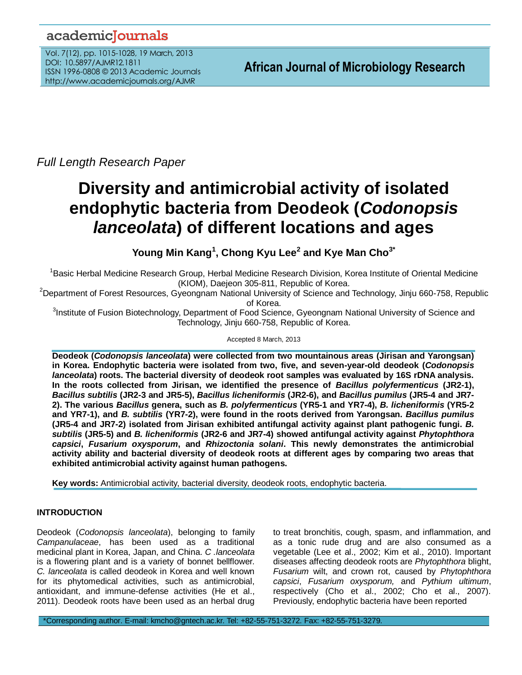# academicJournals

Vol. 7(12), pp. 1015-1028, 19 March, 2013 DOI: 10.5897/AJMR12.1811 ISSN 1996-0808 © 2013 Academic Journals http://www.academicjournals.org/AJMR

*Full Length Research Paper*

# **Diversity and antimicrobial activity of isolated endophytic bacteria from Deodeok (***Codonopsis lanceolata***) of different locations and ages**

**Young Min Kang<sup>1</sup> , Chong Kyu Lee<sup>2</sup> and Kye Man Cho3\***

<sup>1</sup>Basic Herbal Medicine Research Group, Herbal Medicine Research Division, Korea Institute of Oriental Medicine (KIOM), Daejeon 305-811, Republic of Korea.

<sup>2</sup>Department of Forest Resources, Gyeongnam National University of Science and Technology, Jinju 660-758, Republic of Korea.

<sup>3</sup>Institute of Fusion Biotechnology, Department of Food Science, Gyeongnam National University of Science and Technology, Jinju 660-758, Republic of Korea.

Accepted 8 March, 2013

**Deodeok (***Codonopsis lanceolata***) were collected from two mountainous areas (Jirisan and Yarongsan) in Korea. Endophytic bacteria were isolated from two, five, and seven-year-old deodeok (***Codonopsis lanceolata***) roots. The bacterial diversity of deodeok root samples was evaluated by 16S rDNA analysis. In the roots collected from Jirisan, we identified the presence of** *Bacillus polyfermenticus* **(JR2-1),**  *Bacillus subtilis* **(JR2-3 and JR5-5),** *Bacillus licheniformis* **(JR2-6), and** *Bacillus pumilus* **(JR5-4 and JR7- 2). The various** *Bacillus* **genera, such as** *B. polyfermenticus* **(YR5-1 and YR7-4),** *B. licheniformis* **(YR5-2 and YR7-1), and** *B. subtilis* **(YR7-2), were found in the roots derived from Yarongsan.** *Bacillus pumilus* **(JR5-4 and JR7-2) isolated from Jirisan exhibited antifungal activity against plant pathogenic fungi.** *B. subtilis* **(JR5-5) and** *B. licheniformis* **(JR2-6 and JR7-4) showed antifungal activity against** *Phytophthora capsici***,** *Fusarium oxysporum***, and** *Rhizoctonia solani***. This newly demonstrates the antimicrobial activity ability and bacterial diversity of deodeok roots at different ages by comparing two areas that exhibited antimicrobial activity against human pathogens.**

**Key words:** Antimicrobial activity, bacterial diversity, deodeok roots, endophytic bacteria.

# **INTRODUCTION**

Deodeok (*Codonopsis lanceolata*), belonging to family *Campanulaceae*, has been used as a traditional medicinal plant in Korea, Japan, and China. *C .lanceolata* is a flowering plant and is a variety of bonnet bellflower. *C. lanceolata* is called deodeok in Korea and well known for its phytomedical activities, such as antimicrobial, antioxidant, and immune-defense activities (He et al., 2011). Deodeok roots have been used as an herbal drug

to treat bronchitis, cough, spasm, and inflammation, and as a tonic rude drug and are also consumed as a vegetable (Lee et al., 2002; Kim et al., 2010). Important diseases affecting deodeok roots are *Phytophthora* blight, *Fusarium* wilt, and crown rot, caused by *Phytophthora capsici*, *Fusarium oxysporum,* and *Pythium ultimum*, respectively (Cho et al., 2002; Cho et al., 2007). Previously, endophytic bacteria have been reported

\*Corresponding author. E-mail: kmcho@gntech.ac.kr. Tel: +82-55-751-3272. Fax: +82-55-751-3279.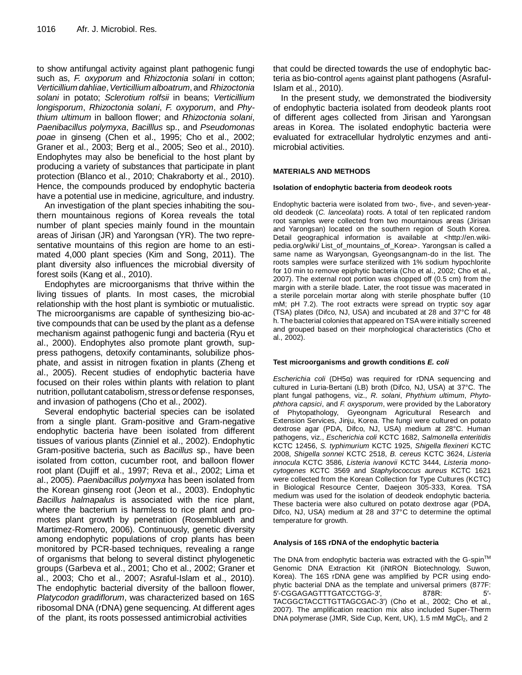to show antifungal activity against plant pathogenic fungi such as, *F. oxyporum* and *Rhizoctonia solani* in cotton; *Verticillium dahliae*,*Verticillium alboatrum*, and *Rhizoctonia solani* in potato; *Sclerotium rolfsii* in beans; *Verticillium longisporum*, *Rhizoctonia solani*, *F. oxyporum*, and *Phythium ultimum* in balloon flower; and *Rhizoctonia solani*, *Paenibacillus polymyxa*, *Bacilllus* sp., and *Pseudomonas poae* in ginseng (Chen et al., 1995; Cho et al., 2002; Graner et al., 2003; Berg et al., 2005; Seo et al., 2010). Endophytes may also be beneficial to the host plant by producing a variety of substances that participate in plant protection (Blanco et al., 2010; Chakraborty et al., 2010). Hence, the compounds produced by endophytic bacteria have a potential use in medicine, agriculture, and industry.

An investigation of the plant species inhabiting the southern mountainous regions of Korea reveals the total number of plant species mainly found in the mountain areas of Jirisan (JR) and Yarongsan (YR). The two representative mountains of this region are home to an estimated 4,000 plant species (Kim and Song, 2011). The plant diversity also influences the microbial diversity of forest soils (Kang et al., 2010).

Endophytes are microorganisms that thrive within the living tissues of plants. In most cases, the microbial relationship with the host plant is symbiotic or mutualistic. The microorganisms are capable of synthesizing bio-active compounds that can be used by the plant as a defense mechanism against pathogenic fungi and bacteria (Ryu et al., 2000). Endophytes also promote plant growth, suppress pathogens, detoxify contaminants, solubilize phosphate, and assist in nitrogen fixation in plants (Zheng et al., 2005). Recent studies of endophytic bacteria have focused on their roles within plants with relation to plant nutrition,pollutant catabolism, stressordefense responses, and invasion of pathogens (Cho et al., 2002).

Several endophytic bacterial species can be isolated from a single plant. Gram-positive and Gram-negative endophytic bacteria have been isolated from different tissues of various plants (Zinniel et al., 2002). Endophytic Gram-positive bacteria, such as *Bacillus* sp., have been isolated from cotton, cucumber root, and balloon flower root plant (Dujiff et al., 1997; Reva et al., 2002; Lima et al., 2005). *Paenibacillus polymyxa* has been isolated from the Korean ginseng root (Jeon et al., 2003). Endophytic *Bacillus halmapalus* is associated with the rice plant, where the bacterium is harmless to rice plant and promotes plant growth by penetration (Rosemblueth and Martimez-Romero, 2006). Continuously, genetic diversity among endophytic populations of crop plants has been monitored by PCR-based techniques, revealing a range of organisms that belong to several distinct phylogenetic groups (Garbeva et al., 2001; Cho et al., 2002; Graner et al., 2003; Cho et al., 2007; Asraful-Islam et al., 2010). The endophytic bacterial diversity of the balloon flower, *Platycodon gradiflorum*, was characterized based on 16S ribosomal DNA (rDNA) gene sequencing. At different ages of the plant, its roots possessed antimicrobial activities

that could be directed towards the use of endophytic bacteria as bio-control agents against plant pathogens (Asraful-Islam et al., 2010).

In the present study, we demonstrated the biodiversity of endophytic bacteria isolated from deodeok plants root of different ages collected from Jirisan and Yarongsan areas in Korea. The isolated endophytic bacteria were evaluated for extracellular hydrolytic enzymes and antimicrobial activities.

### **MATERIALS AND METHODS**

#### **Isolation of endophytic bacteria from deodeok roots**

Endophytic bacteria were isolated from two-, five-, and seven-yearold deodeok (*C. lanceolata*) roots. A total of ten replicated random root samples were collected from two mountainous areas (Jirisan and Yarongsan) located on the southern region of South Korea. Detail geographical information is available at <http://en.wikipedia.org/wiki/ List\_of\_mountains\_of\_Korea>. Yarongsan is called a same name as Waryongsan, Gyeongsangnam-do in the list. The roots samples were surface sterilized with 1% sodium hypochlorite for 10 min to remove epiphytic bacteria (Cho et al., 2002; Cho et al., 2007). The external root portion was chopped off (0.5 cm) from the margin with a sterile blade. Later, the root tissue was macerated in a sterile porcelain mortar along with sterile phosphate buffer (10 mM; pH 7.2). The root extracts were spread on tryptic soy agar (TSA) plates (Difco, NJ, USA) and incubated at 28 and 37°C for 48 h. The bacterial colonies that appeared on TSA were initially screened and grouped based on their morphological characteristics (Cho et al., 2002).

#### **Test microorganisms and growth conditions** *E. coli*

*Escherichia coli* (DH5α) was required for rDNA sequencing and cultured in Luria-Bertani (LB) broth (Difco, NJ, USA) at 37°C. The plant fungal pathogens, viz., *R. solani*, *Phythium ultimum*, *Phytophthora capsici*, and *F. oxysporum*, were provided by the Laboratory of Phytopathology, Gyeongnam Agricultural Research and Extension Services, Jinju, Korea. The fungi were cultured on potato dextrose agar (PDA, Difco, NJ, USA) medium at 28°C. Human pathogens, viz., *Escherichia coli* KCTC 1682, *Salmonella enteritidis* KCTC 12456, *S. typhimurium* KCTC 1925, *Shigella flexineri* KCTC 2008, *Shigella sonnei* KCTC 2518, *B. cereus* KCTC 3624, *Listeria innocula* KCTC 3586, *Listeria ivanovii* KCTC 3444, *Listeria monocytogenes* KCTC 3569 and *Staphylococcus aureus* KCTC 1621 were collected from the Korean Collection for Type Cultures (KCTC) in Biological Resource Center, Daejeon 305-333, Korea. TSA medium was used for the isolation of deodeok endophytic bacteria. These bacteria were also cultured on potato dextrose agar (PDA, Difco, NJ, USA) medium at 28 and 37°C to determine the optimal temperature for growth.

#### **Analysis of 16S rDNA of the endophytic bacteria**

The DNA from endophytic bacteria was extracted with the G-spin™ Genomic DNA Extraction Kit (iNtRON Biotechnology, Suwon, Korea). The 16S rDNA gene was amplified by PCR using endophytic bacterial DNA as the template and universal primers (877F: 5′-CGGAGAGTTTGATCCTGG-3′, 878R: 5′- TACGGCTACCTTGTTAGCGAC-3′) (Cho et al., 2002; Cho et al., 2007). The amplification reaction mix also included Super-Therm DNA polymerase (JMR, Side Cup, Kent, UK), 1.5 mM MgCl<sub>2</sub>, and 2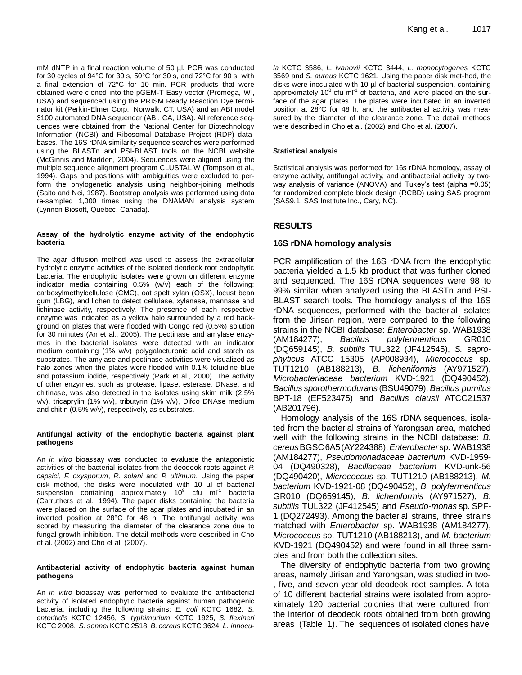mM dNTP in a final reaction volume of 50 µl. PCR was conducted for 30 cycles of 94°C for 30 s, 50°C for 30 s, and 72°C for 90 s, with a final extension of 72°C for 10 min. PCR products that were obtained were cloned into the pGEM-T Easy vector (Promega, WI, USA) and sequenced using the PRISM Ready Reaction Dye terminator kit (Perkin-Elmer Corp., Norwalk, CT, USA) and an ABI model 3100 automated DNA sequencer (ABI, CA, USA). All reference sequences were obtained from the National Center for Biotechnology Information (NCBI) and Ribosomal Database Project (RDP) databases. The 16S rDNA similarity sequence searches were performed using the BLASTn and PSI-BLAST tools on the NCBI website (McGinnis and Madden, 2004). Sequences were aligned using the multiple sequence alignment program CLUSTAL W (Tompson et al., 1994). Gaps and positions with ambiguities were excluded to perform the phylogenetic analysis using neighbor-joining methods (Saito and Nei, 1987). Bootstrap analysis was performed using data re-sampled 1,000 times using the DNAMAN analysis system (Lynnon Biosoft, Quebec, Canada).

#### **Assay of the hydrolytic enzyme activity of the endophytic bacteria**

The agar diffusion method was used to assess the extracellular hydrolytic enzyme activities of the isolated deodeok root endophytic bacteria. The endophytic isolates were grown on different enzyme indicator media containing 0.5% (w/v) each of the following: carboxylmethylcellulose (CMC), oat spelt xylan (OSX), locust bean gum (LBG), and lichen to detect cellulase, xylanase, mannase and lichinase activity, respectively. The presence of each respective enzyme was indicated as a yellow halo surrounded by a red background on plates that were flooded with Congo red (0.5%) solution for 30 minutes (An et al., 2005). The pectinase and amylase enzymes in the bacterial isolates were detected with an indicator medium containing (1% w/v) polygalacturonic acid and starch as substrates. The amylase and pectinase activities were visualized as halo zones when the plates were flooded with 0.1% toluidine blue and potassium iodide, respectively (Park et al., 2000). The activity of other enzymes, such as protease, lipase, esterase, DNase, and chitinase, was also detected in the isolates using skim milk (2.5% v/v), tricaprylin (1% v/v), tributyrin (1% v/v), Difco DNAse medium and chitin (0.5% w/v), respectively, as substrates.

#### **Antifungal activity of the endophytic bacteria against plant pathogens**

An *in vitro* bioassay was conducted to evaluate the antagonistic activities of the bacterial isolates from the deodeok roots against *P. capsici*, *F. oxysporum*, *R. solani* and *P. ultimum*. Using the paper disk method, the disks were inoculated with 10 µl of bacterial suspension containing approximately 10 $8$  cfu ml<sup>-1</sup> bacteria (Carruthers et al., 1994). The paper disks containing the bacteria were placed on the surface of the agar plates and incubated in an inverted position at 28°C for 48 h. The antifungal activity was scored by measuring the diameter of the clearance zone due to fungal growth inhibition. The detail methods were described in Cho et al. (2002) and Cho et al. (2007).

#### **Antibacterial activity of endophytic bacteria against human pathogens**

An *in vitro* bioassay was performed to evaluate the antibacterial activity of isolated endophytic bacteria against human pathogenic bacteria, including the following strains: *E. coli* KCTC 1682, *S. enteritidis* KCTC 12456, *S. typhimurium* KCTC 1925, *S. flexineri*  KCTC 2008, *S. sonnei* KCTC 2518, *B. cereus* KCTC 3624, *L. innocu-* *la* KCTC 3586, *L. ivanovii* KCTC 3444, *L. monocytogenes* KCTC 3569 and *S. aureus* KCTC 1621. Using the paper disk met-hod, the disks were inoculated with 10 µl of bacterial suspension, containing approximately 10 $8$  cfu ml<sup>-1</sup> of bacteria, and were placed on the surface of the agar plates. The plates were incubated in an inverted position at 28°C for 48 h, and the antibacterial activity was measured by the diameter of the clearance zone. The detail methods were described in Cho et al. (2002) and Cho et al. (2007).

### **Statistical analysis**

Statistical analysis was performed for 16s rDNA homology, assay of enzyme activity, antifungal activity, and antibacterial activity by twoway analysis of variance (ANOVA) and Tukey's test (alpha =0.05) for randomized complete block design (RCBD) using SAS program (SAS9.1, SAS Institute Inc., Cary, NC).

# **RESULTS**

## **16S rDNA homology analysis**

PCR amplification of the 16S rDNA from the endophytic bacteria yielded a 1.5 kb product that was further cloned and sequenced. The 16S rDNA sequences were 98 to 99% similar when analyzed using the BLASTn and PSI-BLAST search tools. The homology analysis of the 16S rDNA sequences, performed with the bacterial isolates from the Jirisan region, were compared to the following strains in the NCBI database: *Enterobacter* sp. WAB1938 (AM184277), *Bacillus polyfermenticus* GR010 (DQ659145), *B. subtilis* TUL322 (JF412545), *S. saprophyticus* ATCC 15305 (AP008934), *Micrococcus* sp. TUT1210 (AB188213), *B. licheniformis* (AY971527), *Microbacteriaceae bacterium* KVD-1921 (DQ490452), *Bacillus sporothermodurans* (BSU49079), *Bacillus pumilus* BPT-18 (EF523475) and *Bacillus clausii* ATCC21537 (AB201796).

Homology analysis of the 16S rDNA sequences, isolated from the bacterial strains of Yarongsan area, matched well with the following strains in the NCBI database: *B. cereus*BGSC6A5(AY224388),*Enterobacter*sp. WAB1938 (AM184277), *Pseudomonadaceae bacterium* KVD-1959- 04 (DQ490328), *Bacillaceae bacterium* KVD-unk-56 (DQ490420), *Micrococcus* sp. TUT1210 (AB188213), *M. bacterium* KVD-1921-08 (DQ490452), *B. polyfermenticus*  GR010 (DQ659145), *B. licheniformis* (AY971527), *B. subtilis* TUL322 (JF412545) and *Pseudo-monas* sp. SPF-1 (DQ272493). Among the bacterial strains, three strains matched with *Enterobacter* sp. WAB1938 (AM184277), *Micrococcus* sp. TUT1210 (AB188213), and *M. bacterium* KVD-1921 (DQ490452) and were found in all three samples and from both the collection sites.

The diversity of endophytic bacteria from two growing areas, namely Jirisan and Yarongsan, was studied in two- , five, and seven-year-old deodeok root samples. A total of 10 different bacterial strains were isolated from approximately 120 bacterial colonies that were cultured from the interior of deodeok roots obtained from both growing areas (Table 1). The sequences of isolated clones have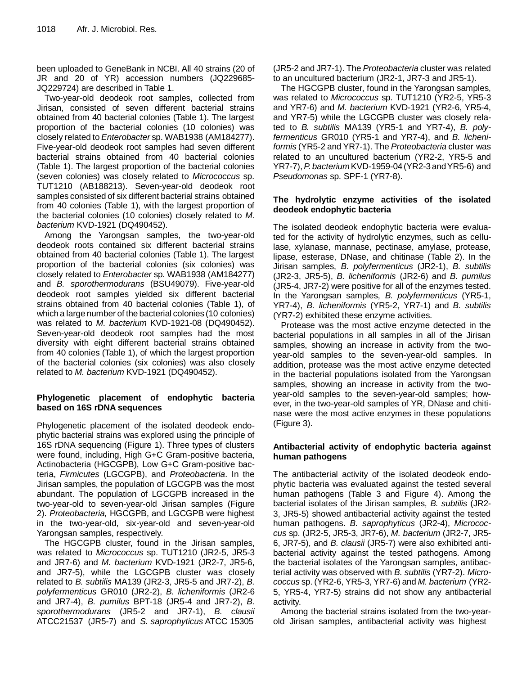been uploaded to GeneBank in NCBI. All 40 strains (20 of JR and 20 of YR) accession numbers (JQ229685- JQ229724) are described in Table 1.

Two-year-old deodeok root samples, collected from Jirisan, consisted of seven different bacterial strains obtained from 40 bacterial colonies (Table 1). The largest proportion of the bacterial colonies (10 colonies) was closely related to *Enterobacter* sp. WAB1938 (AM184277). Five-year-old deodeok root samples had seven different bacterial strains obtained from 40 bacterial colonies (Table 1). The largest proportion of the bacterial colonies (seven colonies) was closely related to *Micrococcus* sp. TUT1210 (AB188213). Seven-year-old deodeok root samples consisted of six different bacterial strains obtained from 40 colonies (Table 1), with the largest proportion of the bacterial colonies (10 colonies) closely related to *M. bacterium* KVD-1921 (DQ490452).

Among the Yarongsan samples, the two-year-old deodeok roots contained six different bacterial strains obtained from 40 bacterial colonies (Table 1). The largest proportion of the bacterial colonies (six colonies) was closely related to *Enterobacter* sp. WAB1938 (AM184277) and *B. sporothermodurans* (BSU49079). Five-year-old deodeok root samples yielded six different bacterial strains obtained from 40 bacterial colonies (Table 1), of which a large number of the bacterial colonies (10 colonies) was related to *M. bacterium* KVD-1921-08 (DQ490452). Seven-year-old deodeok root samples had the most diversity with eight different bacterial strains obtained from 40 colonies (Table 1), of which the largest proportion of the bacterial colonies (six colonies) was also closely related to *M. bacterium* KVD-1921 (DQ490452).

# **Phylogenetic placement of endophytic bacteria based on 16S rDNA sequences**

Phylogenetic placement of the isolated deodeok endophytic bacterial strains was explored using the principle of 16S rDNA sequencing (Figure 1). Three types of clusters were found, including, High G+C Gram-positive bacteria, Actinobacteria (HGCGPB), Low G+C Gram-positive bacteria, *Firmicutes* (LGCGPB), and *Proteobacteria*. In the Jirisan samples, the population of LGCGPB was the most abundant. The population of LGCGPB increased in the two-year-old to seven-year-old Jirisan samples (Figure 2). *Proteobacteria,* HGCGPB, and LGCGPB were highest in the two-year-old, six-year-old and seven-year-old Yarongsan samples, respectively.

The HGCGPB cluster, found in the Jirisan samples, was related to *Micrococcus* sp. TUT1210 (JR2-5, JR5-3 and JR7-6) and *M. bacterium* KVD-1921 (JR2-7, JR5-6, and JR7-5), while the LGCGPB cluster was closely related to *B. subtilis* MA139 (JR2-3, JR5-5 and JR7-2), *B. polyfermenticus* GR010 (JR2-2), *B. licheniformis* (JR2-6 and JR7-4), *B. pumilus* BPT-18 (JR5-4 and JR7-2), *B. sporothermodurans* (JR5-2 and JR7-1), *B. clausii* ATCC21537 (JR5-7) and *S. saprophyticus* ATCC 15305 (JR5-2 and JR7-1). The *Proteobacteria* cluster was related to an uncultured bacterium (JR2-1, JR7-3 and JR5-1).

The HGCGPB cluster, found in the Yarongsan samples, was related to *Micrococcus* sp. TUT1210 (YR2-5, YR5-3 and YR7-6) and *M. bacterium* KVD-1921 (YR2-6, YR5-4, and YR7-5) while the LGCGPB cluster was closely related to *B. subtilis* MA139 (YR5-1 and YR7-4), *B. polyfermenticus* GR010 (YR5-1 and YR7-4), and *B. licheniformis* (YR5-2 and YR7-1). The *Proteobacteria* cluster was related to an uncultured bacterium (YR2-2, YR5-5 and YR7-7),*P. bacterium* KVD-1959-04(YR2-3andYR5-6) and *Pseudomonas* sp. SPF-1 (YR7-8).

# **The hydrolytic enzyme activities of the isolated deodeok endophytic bacteria**

The isolated deodeok endophytic bacteria were evaluated for the activity of hydrolytic enzymes, such as cellulase, xylanase, mannase, pectinase, amylase, protease, lipase, esterase, DNase, and chitinase (Table 2). In the Jirisan samples, *B. polyfermenticus* (JR2-1), *B. subtilis* (JR2-3, JR5-5), *B. licheniformis* (JR2-6) and *B. pumilus* (JR5-4, JR7-2) were positive for all of the enzymes tested. In the Yarongsan samples, *B. polyfermenticus* (YR5-1, YR7-4), *B. licheniformis* (YR5-2, YR7-1) and *B. subtilis* (YR7-2) exhibited these enzyme activities.

Protease was the most active enzyme detected in the bacterial populations in all samples in all of the Jirisan samples, showing an increase in activity from the twoyear-old samples to the seven-year-old samples. In addition, protease was the most active enzyme detected in the bacterial populations isolated from the Yarongsan samples, showing an increase in activity from the twoyear-old samples to the seven-year-old samples; however, in the two-year-old samples of YR, DNase and chitinase were the most active enzymes in these populations (Figure 3).

# **Antibacterial activity of endophytic bacteria against human pathogens**

The antibacterial activity of the isolated deodeok endophytic bacteria was evaluated against the tested several human pathogens (Table 3 and Figure 4). Among the bacterial isolates of the Jirisan samples, *B. subtilis* (JR2- 3, JR5-5) showed antibacterial activity against the tested human pathogens. *B. saprophyticus* (JR2-4), *Micrococcus* sp. (JR2-5, JR5-3, JR7-6), *M. bacterium* (JR2-7, JR5- 6, JR7-5), and *B. clausii* (JR5-7) were also exhibited antibacterial activity against the tested pathogens. Among the bacterial isolates of the Yarongsan samples, antibacterial activity was observed with *B. subtilis* (YR7-2). *Micrococcus* sp. (YR2-6, YR5-3, YR7-6) and *M. bacterium* (YR2- 5, YR5-4, YR7-5) strains did not show any antibacterial activity.

Among the bacterial strains isolated from the two-yearold Jirisan samples, antibacterial activity was highest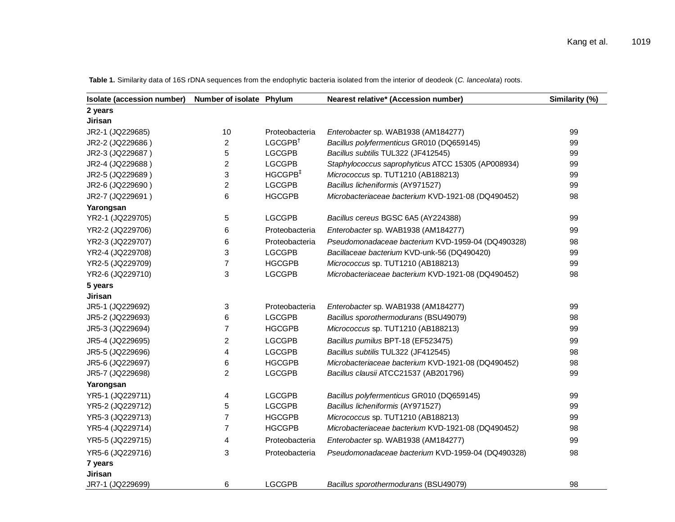| Isolate (accession number) | Number of isolate Phylum |                       | Nearest relative* (Accession number)               | Similarity (%) |
|----------------------------|--------------------------|-----------------------|----------------------------------------------------|----------------|
| 2 years                    |                          |                       |                                                    |                |
| Jirisan                    |                          |                       |                                                    |                |
| JR2-1 (JQ229685)           | 10                       | Proteobacteria        | Enterobacter sp. WAB1938 (AM184277)                | 99             |
| JR2-2 (JQ229686)           | 2                        | $LGCGPB$ <sup>†</sup> | Bacillus polyfermenticus GR010 (DQ659145)          | 99             |
| JR2-3 (JQ229687)           | 5                        | <b>LGCGPB</b>         | Bacillus subtilis TUL322 (JF412545)                | 99             |
| JR2-4 (JQ229688)           | $\overline{\mathbf{c}}$  | <b>LGCGPB</b>         | Staphylococcus saprophyticus ATCC 15305 (AP008934) | 99             |
| JR2-5 (JQ229689)           | 3                        | HGCGPB <sup>#</sup>   | Micrococcus sp. TUT1210 (AB188213)                 | 99             |
| JR2-6 (JQ229690)           | 2                        | <b>LGCGPB</b>         | Bacillus licheniformis (AY971527)                  | 99             |
| JR2-7 (JQ229691)           | 6                        | <b>HGCGPB</b>         | Microbacteriaceae bacterium KVD-1921-08 (DQ490452) | 98             |
| Yarongsan                  |                          |                       |                                                    |                |
| YR2-1 (JQ229705)           | 5                        | <b>LGCGPB</b>         | Bacillus cereus BGSC 6A5 (AY224388)                | 99             |
| YR2-2 (JQ229706)           | 6                        | Proteobacteria        | Enterobacter sp. WAB1938 (AM184277)                | 99             |
| YR2-3 (JQ229707)           | 6                        | Proteobacteria        | Pseudomonadaceae bacterium KVD-1959-04 (DQ490328)  | 98             |
| YR2-4 (JQ229708)           | 3                        | <b>LGCGPB</b>         | Bacillaceae bacterium KVD-unk-56 (DQ490420)        | 99             |
| YR2-5 (JQ229709)           | 7                        | <b>HGCGPB</b>         | Micrococcus sp. TUT1210 (AB188213)                 | 99             |
| YR2-6 (JQ229710)           | 3                        | <b>LGCGPB</b>         | Microbacteriaceae bacterium KVD-1921-08 (DQ490452) | 98             |
| 5 years                    |                          |                       |                                                    |                |
| Jirisan                    |                          |                       |                                                    |                |
| JR5-1 (JQ229692)           | 3                        | Proteobacteria        | Enterobacter sp. WAB1938 (AM184277)                | 99             |
| JR5-2 (JQ229693)           | 6                        | <b>LGCGPB</b>         | Bacillus sporothermodurans (BSU49079)              | 98             |
| JR5-3 (JQ229694)           | 7                        | <b>HGCGPB</b>         | Micrococcus sp. TUT1210 (AB188213)                 | 99             |
| JR5-4 (JQ229695)           | $\overline{2}$           | <b>LGCGPB</b>         | Bacillus pumilus BPT-18 (EF523475)                 | 99             |
| JR5-5 (JQ229696)           | 4                        | <b>LGCGPB</b>         | Bacillus subtilis TUL322 (JF412545)                | 98             |
| JR5-6 (JQ229697)           | 6                        | <b>HGCGPB</b>         | Microbacteriaceae bacterium KVD-1921-08 (DQ490452) | 98             |
| JR5-7 (JQ229698)           | $\overline{2}$           | <b>LGCGPB</b>         | Bacillus clausii ATCC21537 (AB201796)              | 99             |
| Yarongsan                  |                          |                       |                                                    |                |
| YR5-1 (JQ229711)           | 4                        | <b>LGCGPB</b>         | Bacillus polyfermenticus GR010 (DQ659145)          | 99             |
| YR5-2 (JQ229712)           | 5                        | <b>LGCGPB</b>         | Bacillus licheniformis (AY971527)                  | 99             |
| YR5-3 (JQ229713)           | $\overline{7}$           | <b>HGCGPB</b>         | Micrococcus sp. TUT1210 (AB188213)                 | 99             |
| YR5-4 (JQ229714)           | $\overline{7}$           | <b>HGCGPB</b>         | Microbacteriaceae bacterium KVD-1921-08 (DQ490452) | 98             |
| YR5-5 (JQ229715)           | 4                        | Proteobacteria        | Enterobacter sp. WAB1938 (AM184277)                | 99             |
| YR5-6 (JQ229716)           | 3                        | Proteobacteria        | Pseudomonadaceae bacterium KVD-1959-04 (DQ490328)  | 98             |
| 7 years                    |                          |                       |                                                    |                |
| <b>Jirisan</b>             |                          |                       |                                                    |                |
| JR7-1 (JQ229699)           | 6                        | <b>LGCGPB</b>         | Bacillus sporothermodurans (BSU49079)              | 98             |

**Table 1.** Similarity data of 16S rDNA sequences from the endophytic bacteria isolated from the interior of deodeok (*C. lanceolata*) roots.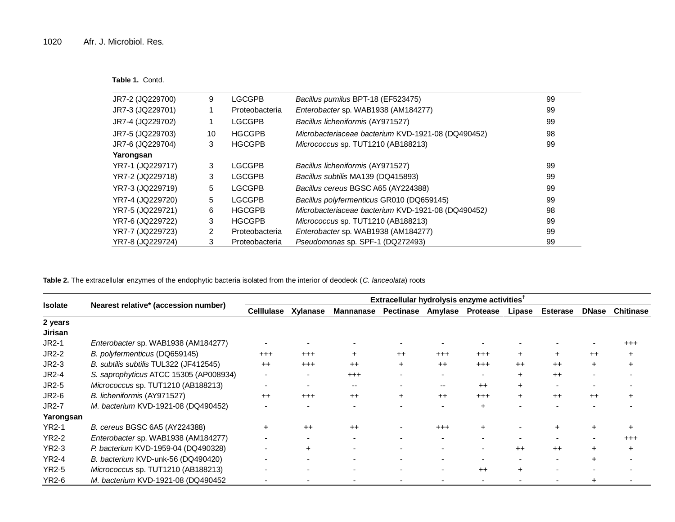|  |  | Table 1. Contd. |
|--|--|-----------------|
|--|--|-----------------|

| JR7-2 (JQ229700) | 9  | LGCGPB         | Bacillus pumilus BPT-18 (EF523475)                 | 99 |
|------------------|----|----------------|----------------------------------------------------|----|
| JR7-3 (JQ229701) |    | Proteobacteria | Enterobacter sp. WAB1938 (AM184277)                | 99 |
| JR7-4 (JQ229702) |    | LGCGPB         | Bacillus licheniformis (AY971527)                  | 99 |
| JR7-5 (JQ229703) | 10 | <b>HGCGPB</b>  | Microbacteriaceae bacterium KVD-1921-08 (DQ490452) | 98 |
| JR7-6 (JQ229704) | 3  | <b>HGCGPB</b>  | Micrococcus sp. TUT1210 (AB188213)                 | 99 |
| Yarongsan        |    |                |                                                    |    |
| YR7-1 (JQ229717) | 3  | <b>LGCGPB</b>  | Bacillus licheniformis (AY971527)                  | 99 |
| YR7-2 (JQ229718) | 3  | <b>LGCGPB</b>  | Bacillus subtilis MA139 (DQ415893)                 | 99 |
| YR7-3 (JQ229719) | 5  | <b>LGCGPB</b>  | Bacillus cereus BGSC A65 (AY224388)                | 99 |
| YR7-4 (JQ229720) | 5  | <b>LGCGPB</b>  | Bacillus polyfermenticus GR010 (DQ659145)          | 99 |
| YR7-5 (JQ229721) | 6  | <b>HGCGPB</b>  | Microbacteriaceae bacterium KVD-1921-08 (DQ490452) | 98 |
| YR7-6 (JQ229722) | 3  | <b>HGCGPB</b>  | Micrococcus sp. TUT1210 (AB188213)                 | 99 |
| YR7-7 (JQ229723) | 2  | Proteobacteria | Enterobacter sp. WAB1938 (AM184277)                | 99 |
| YR7-8 (JQ229724) | 3  | Proteobacteria | Pseudomonas sp. SPF-1 (DQ272493)                   | 99 |

**Table 2.** The extracellular enzymes of the endophytic bacteria isolated from the interior of deodeok (*C. lanceolata*) roots

|                    |                                        | Extracellular hydrolysis enzyme activities <sup>†</sup> |                          |                          |           |                          |                  |           |                 |              |                  |  |  |  |  |
|--------------------|----------------------------------------|---------------------------------------------------------|--------------------------|--------------------------|-----------|--------------------------|------------------|-----------|-----------------|--------------|------------------|--|--|--|--|
| <b>Isolate</b>     | Nearest relative* (accession number)   | <b>Celllulase</b>                                       | Xylanase                 | <b>Mannanase</b>         | Pectinase |                          | Amylase Protease | Lipase    | <b>Esterase</b> | <b>DNase</b> | <b>Chitinase</b> |  |  |  |  |
| 2 years<br>Jirisan |                                        |                                                         |                          |                          |           |                          |                  |           |                 |              |                  |  |  |  |  |
| $JR2-1$            | Enterobacter sp. WAB1938 (AM184277)    |                                                         |                          |                          |           |                          |                  |           |                 |              | $^{+++}$         |  |  |  |  |
| <b>JR2-2</b>       | B. polyfermenticus (DQ659145)          | $^{+++}$                                                | $^{+++}$                 | $\pm$                    | $++$      | $^{++}$                  | $^{+++}$         | $+$       | ÷               | $++$         |                  |  |  |  |  |
| JR2-3              | B. subtilis subtilis TUL322 (JF412545) | $++$                                                    | $^{+++}$                 | $++$                     | $\div$    | $++$                     | $^{+++}$         | $++$      | $++$            | $\ddot{}$    |                  |  |  |  |  |
| <b>JR2-4</b>       | S. saprophyticus ATCC 15305 (AP008934) | $\blacksquare$                                          | $\overline{\phantom{a}}$ | $^{+++}$                 |           |                          |                  | $\ddot{}$ | $++$            |              |                  |  |  |  |  |
| JR2-5              | Micrococcus sp. TUT1210 (AB188213)     | $\overline{\phantom{a}}$                                | $\overline{\phantom{a}}$ | $- -$                    |           | $- -$                    | $++$             | $+$       |                 |              |                  |  |  |  |  |
| <b>JR2-6</b>       | B. licheniformis (AY971527)            | $++$                                                    | $+ + +$                  | $++$                     |           | $++$                     | $^{+++}$         | $+$       | $++$            | $++$         |                  |  |  |  |  |
| <b>JR2-7</b>       | M. bacterium KVD-1921-08 (DQ490452)    |                                                         |                          |                          |           |                          |                  |           |                 |              |                  |  |  |  |  |
| Yarongsan          |                                        |                                                         |                          |                          |           |                          |                  |           |                 |              |                  |  |  |  |  |
| <b>YR2-1</b>       | B. cereus BGSC 6A5 (AY224388)          | $+$                                                     | $++$                     | $++$                     |           | $+ + +$                  |                  |           |                 |              |                  |  |  |  |  |
| <b>YR2-2</b>       | Enterobacter sp. WAB1938 (AM184277)    |                                                         | $\overline{\phantom{a}}$ |                          |           | $\overline{\phantom{a}}$ |                  |           |                 |              | $^{+++}$         |  |  |  |  |
| <b>YR2-3</b>       | P. bacterium KVD-1959-04 (DQ490328)    |                                                         | $\ddot{}$                | $\overline{\phantom{a}}$ |           | $\overline{\phantom{0}}$ |                  | $++$      | $++$            | $+$          | $\ddot{}$        |  |  |  |  |
| <b>YR2-4</b>       | B. bacterium KVD-unk-56 (DQ490420)     |                                                         |                          |                          |           |                          |                  |           |                 |              |                  |  |  |  |  |
| <b>YR2-5</b>       | Micrococcus sp. TUT1210 (AB188213)     |                                                         |                          |                          |           |                          | $++$             | $+$       |                 |              |                  |  |  |  |  |
| <b>YR2-6</b>       | M. bacterium KVD-1921-08 (DQ490452     |                                                         |                          |                          |           |                          |                  |           |                 |              |                  |  |  |  |  |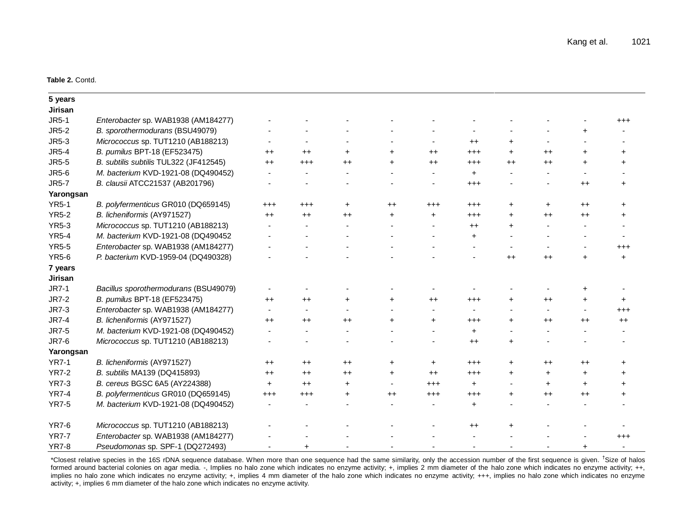#### **Table 2.** Contd.

| 5 years      |                                        |           |                 |           |           |                |                 |                 |                |                  |           |
|--------------|----------------------------------------|-----------|-----------------|-----------|-----------|----------------|-----------------|-----------------|----------------|------------------|-----------|
| Jirisan      |                                        |           |                 |           |           |                |                 |                 |                |                  |           |
| <b>JR5-1</b> | Enterobacter sp. WAB1938 (AM184277)    |           |                 |           |           |                |                 |                 |                |                  | $^{+++}$  |
| <b>JR5-2</b> | B. sporothermodurans (BSU49079)        |           |                 |           |           |                |                 |                 |                | $\ddot{}$        |           |
| JR5-3        | Micrococcus sp. TUT1210 (AB188213)     |           |                 |           |           |                | $^{++}$         | $\pm$           |                |                  |           |
| <b>JR5-4</b> | B. pumilus BPT-18 (EF523475)           | $^{++}$   | $^{++}$         | $\ddot{}$ | $+$       | $^{++}$        | $^{+++}$        | $\ddot{}$       | $^{++}$        | $\ddot{}$        | $\ddot{}$ |
| <b>JR5-5</b> | B. subtilis subtilis TUL322 (JF412545) | $++$      | $^{+++}$        | $++$      | $\ddot{}$ | $++$           | $^{+++}$        | $++$            | $++$           | $+$              | $\ddot{}$ |
| <b>JR5-6</b> | M. bacterium KVD-1921-08 (DQ490452)    |           |                 |           |           | $\blacksquare$ | $\ddot{}$       |                 | $\blacksquare$ |                  |           |
| <b>JR5-7</b> | B. clausii ATCC21537 (AB201796)        |           |                 |           |           |                | $^{+++}$        |                 |                | $++$             | $\ddot{}$ |
| Yarongsan    |                                        |           |                 |           |           |                |                 |                 |                |                  |           |
| <b>YR5-1</b> | B. polyfermenticus GR010 (DQ659145)    | $^{+++}$  | $^{+++}$        | $\ddot{}$ | $^{++}$   | $^{+++}$       | $^{+++}$        | $\ddot{}$       | $\ddot{}$      | $^{++}$          | $\ddot{}$ |
| <b>YR5-2</b> | B. licheniformis (AY971527)            | $++$      | $++$            | $^{++}$   | $\ddot{}$ | $\ddot{}$      | $^{+++}$        | $\ddot{}$       | $^{++}$        | $^{++}$          | $\ddot{}$ |
| <b>YR5-3</b> | Micrococcus sp. TUT1210 (AB188213)     |           |                 |           |           |                | $++$            | $+$             |                |                  |           |
| <b>YR5-4</b> | M. bacterium KVD-1921-08 (DQ490452     |           |                 |           |           |                | $\ddot{}$       |                 |                |                  |           |
| <b>YR5-5</b> | Enterobacter sp. WAB1938 (AM184277)    |           |                 |           |           |                |                 |                 |                |                  | $^{+++}$  |
| <b>YR5-6</b> | P. bacterium KVD-1959-04 (DQ490328)    |           |                 |           |           |                |                 | $^{\mathrm{+}}$ | $++$           | $\ddot{}$        | $\ddot{}$ |
| 7 years      |                                        |           |                 |           |           |                |                 |                 |                |                  |           |
| Jirisan      |                                        |           |                 |           |           |                |                 |                 |                |                  |           |
| <b>JR7-1</b> | Bacillus sporothermodurans (BSU49079)  |           |                 |           |           |                |                 |                 |                | +                |           |
| <b>JR7-2</b> | B. pumilus BPT-18 (EF523475)           | $^{++}$   | $++$            | +         | $+$       | $^{++}$        | $^{\small +++}$ | $+$             | $++$           | $\ddot{}$        | $\pm$     |
| <b>JR7-3</b> | Enterobacter sp. WAB1938 (AM184277)    | $\sim$    | $\blacksquare$  |           |           | $\overline{a}$ |                 |                 | $\blacksquare$ | $\sim$           | $^{+++}$  |
| <b>JR7-4</b> | B. licheniformis (AY971527)            | $^{++}$   | $^{\mathrm{+}}$ | $++$      | $\ddot{}$ | $\ddot{}$      | $^{+++}$        | $\ddot{}$       | $^{++}$        | $^{\mathrm{++}}$ | $++$      |
| <b>JR7-5</b> | M. bacterium KVD-1921-08 (DQ490452)    |           |                 |           |           |                | $\ddot{}$       |                 |                |                  |           |
| <b>JR7-6</b> | Micrococcus sp. TUT1210 (AB188213)     |           |                 |           |           |                | $^{++}$         | $\ddot{}$       |                |                  |           |
| Yarongsan    |                                        |           |                 |           |           |                |                 |                 |                |                  |           |
| <b>YR7-1</b> | B. licheniformis (AY971527)            | $^{++}$   | $^{++}$         | $++$      | $+$       | $+$            | $^{+++}$        | $\pm$           | $^{++}$        | $^{++}$          | $\pm$     |
| <b>YR7-2</b> | B. subtilis MA139 (DQ415893)           | $^{++}$   | $^{\mathrm{+}}$ | $++$      | $\ddot{}$ | $++$           | $^{+++}$        | $+$             | $\ddot{}$      | $\ddot{}$        | $+$       |
| <b>YR7-3</b> | B. cereus BGSC 6A5 (AY224388)          | $\ddot{}$ | $^{\mathrm{+}}$ | +         |           | $^{+++}$       | $\ddot{}$       |                 | $+$            | $+$              | $\ddot{}$ |
| <b>YR7-4</b> | B. polyfermenticus GR010 (DQ659145)    | $^{+++}$  | $^{+++}$        | +         | $^{++}$   | $^{+++}$       | $^{+++}$        | $\ddot{}$       | $++$           | $++$             | $\ddot{}$ |
| <b>YR7-5</b> | M. bacterium KVD-1921-08 (DQ490452)    |           |                 |           |           |                | $\ddot{}$       |                 |                |                  |           |
| <b>YR7-6</b> | Micrococcus sp. TUT1210 (AB188213)     |           |                 |           |           |                | $^{++}$         | $\ddot{}$       |                |                  |           |
| <b>YR7-7</b> | Enterobacter sp. WAB1938 (AM184277)    |           |                 |           |           |                |                 |                 |                |                  | $^{+++}$  |
| <b>YR7-8</b> | Pseudomonas sp. SPF-1 (DQ272493)       |           |                 |           |           |                |                 |                 |                | $\ddot{}$        |           |

\*Closest relative species in the 16S rDNA sequence database. When more than one sequence had the same similarity, only the accession number of the first sequence is given. † Size of halos formed around bacterial colonies on agar media. -, Implies no halo zone which indicates no enzyme activity; +, implies 2 mm diameter of the halo zone which indicates no enzyme activity; ++, implies no halo zone which indicates no enzyme activity; +, implies 4 mm diameter of the halo zone which indicates no enzyme activity; +++, implies no halo zone which indicates no enzyme activity; +, implies 6 mm diameter of the halo zone which indicates no enzyme activity.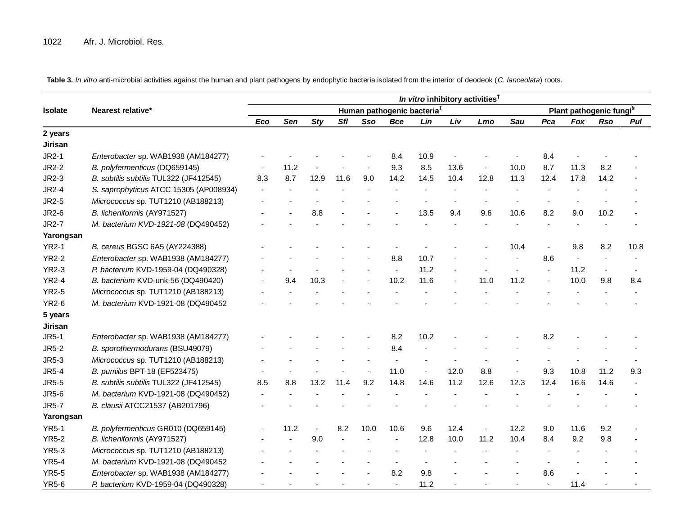**Table 3.** *In vitro* anti-microbial activities against the human and plant pathogens by endophytic bacteria isolated from the interior of deodeok (*C. lanceolata*) roots.

|                |                                        | In vitro inhibitory activities <sup>t</sup> |            |            |            |                |                |      |      |                |      |                                     |                |                          |      |  |
|----------------|----------------------------------------|---------------------------------------------|------------|------------|------------|----------------|----------------|------|------|----------------|------|-------------------------------------|----------------|--------------------------|------|--|
| <b>Isolate</b> | Nearest relative*                      | Human pathogenic bacteria <sup>‡</sup>      |            |            |            |                |                |      |      |                |      | Plant pathogenic fungi <sup>§</sup> |                |                          |      |  |
|                |                                        | Eco                                         | <b>Sen</b> | <b>Sty</b> | <b>Sfl</b> | Sso            | <b>Bce</b>     | Lin  | Liv  | Lmo            | Sau  | Pca                                 | <b>Fox</b>     | <b>Rso</b>               | Pul  |  |
| 2 years        |                                        |                                             |            |            |            |                |                |      |      |                |      |                                     |                |                          |      |  |
| Jirisan        |                                        |                                             |            |            |            |                |                |      |      |                |      |                                     |                |                          |      |  |
| <b>JR2-1</b>   | Enterobacter sp. WAB1938 (AM184277)    |                                             |            |            |            |                | 8.4            | 10.9 |      |                |      | 8.4                                 |                |                          |      |  |
| <b>JR2-2</b>   | B. polyfermenticus (DQ659145)          |                                             | 11.2       |            |            |                | 9.3            | 8.5  | 13.6 |                | 10.0 | 8.7                                 | 11.3           | 8.2                      |      |  |
| JR2-3          | B. subtilis subtilis TUL322 (JF412545) | 8.3                                         | 8.7        | 12.9       | 11.6       | 9.0            | 14.2           | 14.5 | 10.4 | 12.8           | 11.3 | 12.4                                | 17.8           | 14.2                     |      |  |
| <b>JR2-4</b>   | S. saprophyticus ATCC 15305 (AP008934) |                                             |            |            |            |                |                |      |      |                |      |                                     |                |                          |      |  |
| <b>JR2-5</b>   | Micrococcus sp. TUT1210 (AB188213)     |                                             |            |            |            |                |                |      |      |                |      |                                     |                |                          |      |  |
| <b>JR2-6</b>   | B. licheniformis (AY971527)            |                                             |            | 8.8        |            |                |                | 13.5 | 9.4  | 9.6            | 10.6 | 8.2                                 | 9.0            | 10.2                     |      |  |
| <b>JR2-7</b>   | M. bacterium KVD-1921-08 (DQ490452)    |                                             |            |            |            |                |                |      |      |                |      |                                     |                |                          |      |  |
| Yarongsan      |                                        |                                             |            |            |            |                |                |      |      |                |      |                                     |                |                          |      |  |
| <b>YR2-1</b>   | B. cereus BGSC 6A5 (AY224388)          |                                             |            |            |            |                |                |      |      |                | 10.4 | $\blacksquare$                      | 9.8            | 8.2                      | 10.8 |  |
| <b>YR2-2</b>   | Enterobacter sp. WAB1938 (AM184277)    |                                             |            |            |            |                | 8.8            | 10.7 |      |                |      | 8.6                                 | $\blacksquare$ |                          |      |  |
| <b>YR2-3</b>   | P. bacterium KVD-1959-04 (DQ490328)    |                                             |            |            |            |                | $\blacksquare$ | 11.2 |      |                |      |                                     | 11.2           | $\overline{\phantom{a}}$ |      |  |
| <b>YR2-4</b>   | B. bacterium KVD-unk-56 (DQ490420)     |                                             | 9.4        | 10.3       |            |                | 10.2           | 11.6 |      | 11.0           | 11.2 | $\blacksquare$                      | 10.0           | 9.8                      | 8.4  |  |
| <b>YR2-5</b>   | Micrococcus sp. TUT1210 (AB188213)     |                                             |            |            |            |                |                |      |      |                |      |                                     |                |                          |      |  |
| <b>YR2-6</b>   | M. bacterium KVD-1921-08 (DQ490452     |                                             |            |            |            |                |                |      |      |                |      |                                     |                |                          |      |  |
| 5 years        |                                        |                                             |            |            |            |                |                |      |      |                |      |                                     |                |                          |      |  |
| Jirisan        |                                        |                                             |            |            |            |                |                |      |      |                |      |                                     |                |                          |      |  |
| <b>JR5-1</b>   | Enterobacter sp. WAB1938 (AM184277)    |                                             |            |            |            |                | 8.2            | 10.2 |      |                |      | 8.2                                 |                |                          |      |  |
| <b>JR5-2</b>   | B. sporothermodurans (BSU49079)        |                                             |            |            |            |                | 8.4            |      |      |                |      |                                     |                |                          |      |  |
| <b>JR5-3</b>   | Micrococcus sp. TUT1210 (AB188213)     |                                             |            |            |            |                |                |      |      |                |      |                                     |                |                          |      |  |
| <b>JR5-4</b>   | B. pumilus BPT-18 (EF523475)           |                                             |            |            |            | $\blacksquare$ | 11.0           |      | 12.0 | 8.8            |      | 9.3                                 | 10.8           | 11.2                     | 9.3  |  |
| <b>JR5-5</b>   | B. subtilis subtilis TUL322 (JF412545) | 8.5                                         | 8.8        | 13.2       | 11.4       | 9.2            | 14.8           | 14.6 | 11.2 | 12.6           | 12.3 | 12.4                                | 16.6           | 14.6                     |      |  |
| <b>JR5-6</b>   | M. bacterium KVD-1921-08 (DQ490452)    |                                             |            |            |            |                |                |      |      |                |      |                                     |                |                          |      |  |
| <b>JR5-7</b>   | B. clausii ATCC21537 (AB201796)        |                                             |            |            |            |                |                |      |      |                |      |                                     |                |                          |      |  |
| Yarongsan      |                                        |                                             |            |            |            |                |                |      |      |                |      |                                     |                |                          |      |  |
| <b>YR5-1</b>   | B. polyfermenticus GR010 (DQ659145)    |                                             | 11.2       |            | 8.2        | 10.0           | 10.6           | 9.6  | 12.4 | $\blacksquare$ | 12.2 | 9.0                                 | 11.6           | 9.2                      |      |  |
| <b>YR5-2</b>   | B. licheniformis (AY971527)            |                                             |            | 9.0        |            |                |                | 12.8 | 10.0 | 11.2           | 10.4 | 8.4                                 | 9.2            | 9.8                      |      |  |
| <b>YR5-3</b>   | Micrococcus sp. TUT1210 (AB188213)     |                                             |            |            |            |                |                |      |      |                |      |                                     |                |                          |      |  |
| <b>YR5-4</b>   | M. bacterium KVD-1921-08 (DQ490452     |                                             |            |            |            |                |                |      |      |                |      |                                     |                |                          |      |  |
| <b>YR5-5</b>   | Enterobacter sp. WAB1938 (AM184277)    |                                             |            |            |            |                | 8.2            | 9.8  |      |                |      | 8.6                                 |                |                          |      |  |
| <b>YR5-6</b>   | P. bacterium KVD-1959-04 (DQ490328)    |                                             |            |            |            |                |                | 11.2 |      |                |      | $\blacksquare$                      | 11.4           |                          |      |  |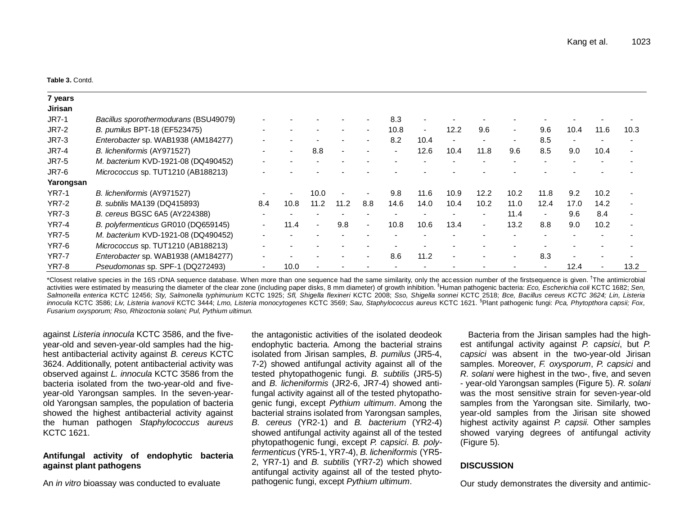**Table 3.** Contd.

| 7 years        |                                       |        |      |                          |      |                          |      |                          |      |                          |                          |                          |                          |      |                          |
|----------------|---------------------------------------|--------|------|--------------------------|------|--------------------------|------|--------------------------|------|--------------------------|--------------------------|--------------------------|--------------------------|------|--------------------------|
| <b>Jirisan</b> |                                       |        |      |                          |      |                          |      |                          |      |                          |                          |                          |                          |      |                          |
| <b>JR7-1</b>   | Bacillus sporothermodurans (BSU49079) |        |      |                          |      | $\overline{\phantom{a}}$ | 8.3  |                          |      |                          |                          |                          |                          |      |                          |
| <b>JR7-2</b>   | B. pumilus BPT-18 (EF523475)          |        |      |                          |      | $\overline{\phantom{a}}$ | 10.8 | $\overline{\phantom{a}}$ | 12.2 | 9.6                      | $\overline{\phantom{a}}$ | 9.6                      | 10.4                     | 11.6 | 10.3                     |
| <b>JR7-3</b>   | Enterobacter sp. WAB1938 (AM184277)   |        |      |                          |      | $\overline{\phantom{0}}$ | 8.2  | 10.4                     |      |                          | $\overline{\phantom{0}}$ | 8.5                      | $\overline{\phantom{a}}$ |      |                          |
| <b>JR7-4</b>   | B. licheniformis (AY971527)           |        |      | 8.8                      |      |                          |      | 12.6                     | 10.4 | 11.8                     | 9.6                      | 8.5                      | 9.0                      | 10.4 |                          |
| <b>JR7-5</b>   | M. bacterium KVD-1921-08 (DQ490452)   |        |      |                          |      |                          |      |                          |      |                          |                          | $\overline{\phantom{a}}$ |                          |      |                          |
| <b>JR7-6</b>   | Micrococcus sp. TUT1210 (AB188213)    |        |      |                          |      |                          |      |                          |      |                          |                          |                          |                          |      |                          |
| Yarongsan      |                                       |        |      |                          |      |                          |      |                          |      |                          |                          |                          |                          |      |                          |
| <b>YR7-1</b>   | B. licheniformis (AY971527)           |        |      | 10.0                     |      |                          | 9.8  | 11.6                     | 10.9 | 12.2                     | 10.2                     | 11.8                     | 9.2                      | 10.2 |                          |
| YR7-2          | B. subtilis MA139 (DQ415893)          | 8.4    | 10.8 | 11.2                     | 11.2 | 8.8                      | 14.6 | 14.0                     | 10.4 | 10.2                     | 11.0                     | 12.4                     | 17.0                     | 14.2 | $\overline{\phantom{0}}$ |
| <b>YR7-3</b>   | B. cereus BGSC 6A5 (AY224388)         |        |      |                          |      |                          |      |                          |      |                          | 11.4                     | $\overline{\phantom{a}}$ | 9.6                      | 8.4  | $\overline{\phantom{0}}$ |
| <b>YR7-4</b>   | B. polyfermenticus GR010 (DQ659145)   | $\sim$ | 11.4 | $\overline{\phantom{a}}$ | 9.8  | $\blacksquare$           | 10.8 | 10.6                     | 13.4 | $\overline{\phantom{0}}$ | 13.2                     | 8.8                      | 9.0                      | 10.2 | $\overline{\phantom{0}}$ |
| <b>YR7-5</b>   | M. bacterium KVD-1921-08 (DQ490452)   |        |      |                          |      |                          |      |                          |      |                          |                          |                          |                          |      |                          |
| YR7-6          | Micrococcus sp. TUT1210 (AB188213)    |        |      |                          |      |                          |      |                          |      |                          |                          |                          |                          |      |                          |
| <b>YR7-7</b>   | Enterobacter sp. WAB1938 (AM184277)   |        |      |                          |      | $\overline{\phantom{0}}$ | 8.6  | 11.2                     |      |                          |                          | 8.3                      |                          |      |                          |
| <b>YR7-8</b>   | Pseudomonas sp. SPF-1 (DQ272493)      |        | 10.0 |                          |      |                          |      |                          |      |                          |                          |                          | 12.4                     |      | 13.2                     |

\*Closest relative species in the 16S rDNA sequence database. When more than one sequence had the same similarity, only the accession number of the firstsequence is given. <sup>†</sup>The antimicrobial activities were estimated by measuring the diameter of the clear zone (including paper disks, 8 mm diameter) of growth inhibition. ‡Human pathogenic bacteria: *Eco, Escherichia coli* KCTC 1682; *Sen, Salmonella enterica* KCTC 12456; *Sty, Salmonella typhimurium* KCTC 1925; *Sfl, Shigella flexineri* KCTC 2008; *Sso, Shigella sonnei* KCTC 2518; *Bce, Bacillus cereus KCTC 3624; Lin, Listeria innocula* KCTC 3586; *Liv, Listeria ivanovii* KCTC 3444; *Lmo, Listeria monocytogenes* KCTC 3569; *Sau, Staphylococcus aureus* KCTC 1621. § Plant pathogenic fungi: *Pca, Phytopthora capsii; Fox, Fusarium oxysporum; Rso, Rhizoctonia solani; Pul, Pythium ultimun.*

against *Listeria innocula* KCTC 3586, and the fiveyear-old and seven-year-old samples had the highest antibacterial activity against *B. cereus* KCTC 3624. Additionally, potent antibacterial activity was observed against *L. innocula* KCTC 3586 from the bacteria isolated from the two-year-old and fiveyear-old Yarongsan samples. In the seven-yearold Yarongsan samples, the population of bacteria showed the highest antibacterial activity against the human pathogen *Staphylococcus aureus* KCTC 1621.

# **Antifungal activity of endophytic bacteria against plant pathogens**

An *in vitro* bioassay was conducted to evaluate

the antagonistic activities of the isolated deodeok endophytic bacteria. Among the bacterial strains isolated from Jirisan samples, *B. pumilus* (JR5-4, 7-2) showed antifungal activity against all of the tested phytopathogenic fungi. *B. subtilis* (JR5-5) and *B. licheniformis* (JR2-6, JR7-4) showed antifungal activity against all of the tested phytopathogenic fungi, except *Pythium ultimum*. Among the bacterial strains isolated from Yarongsan samples, *B. cereus* (YR2-1) and *B. bacterium* (YR2-4) showed antifungal activity against all of the tested phytopathogenic fungi, except *P. capsici*. *B. polyfermenticus* (YR5-1, YR7-4), *B. licheniformis* (YR5- 2, YR7-1) and *B. subtilis* (YR7-2) which showed antifungal activity against all of the tested phytopathogenic fungi, except *Pythium ultimum*.

Bacteria from the Jirisan samples had the highest antifungal activity against *P. capsici*, but *P. capsici* was absent in the two-year-old Jirisan samples. Moreover, *F. oxysporum*, *P. capsici* and *R. solani* were highest in the two-, five, and seven - year-old Yarongsan samples (Figure 5). *R. solani*  was the most sensitive strain for seven-year-old samples from the Yarongsan site. Similarly, twoyear-old samples from the Jirisan site showed highest activity against *P. capsii.* Other samples showed varying degrees of antifungal activity (Figure 5).

# **DISCUSSION**

Our study demonstrates the diversity and antimic-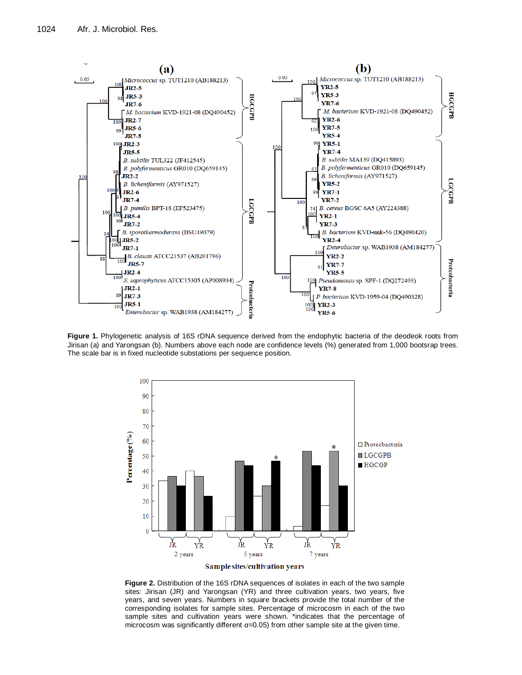

**Figure 1.** Phylogenetic analysis of 16S rDNA sequence derived from the endophytic bacteria of the deodeok roots from Jirisan (a) and Yarongsan (b). Numbers above each node are confidence levels (%) generated from 1,000 bootsrap trees. The scale bar is in fixed nucleotide substations per sequence position.



**Figure 2.** Distribution of the 16S rDNA sequences of isolates in each of the two sample sites: Jirisan (JR) and Yarongsan (YR) and three cultivation years, two years, five years, and seven years. Numbers in square brackets provide the total number of the corresponding isolates for sample sites. Percentage of microcosm in each of the two sample sites and cultivation years were shown. \*indicates that the percentage of microcosm was significantly different *α*=0.05) from other sample site at the given time.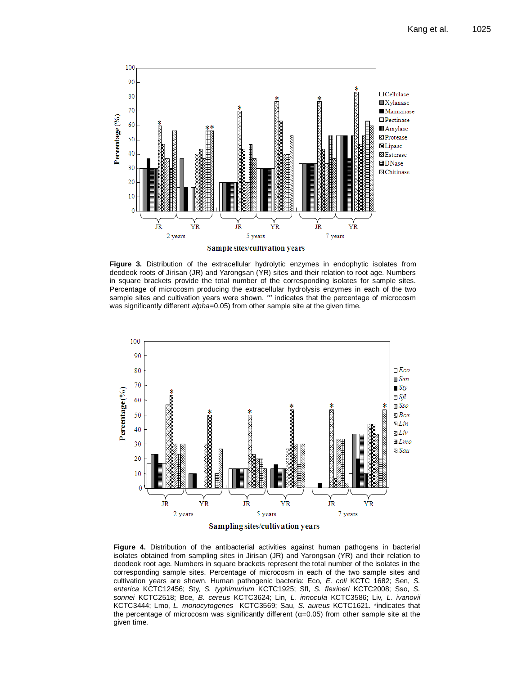

**Figure 3.** Distribution of the extracellular hydrolytic enzymes in endophytic isolates from deodeok roots of Jirisan (JR) and Yarongsan (YR) sites and their relation to root age. Numbers in square brackets provide the total number of the corresponding isolates for sample sites. Percentage of microcosm producing the extracellular hydrolysis enzymes in each of the two sample sites and cultivation years were shown. '\*' indicates that the percentage of microcosm was significantly different *alpha*=0.05) from other sample site at the given time.



**Figure 4.** Distribution of the antibacterial activities against human pathogens in bacterial isolates obtained from sampling sites in Jirisan (JR) and Yarongsan (YR) and their relation to deodeok root age. Numbers in square brackets represent the total number of the isolates in the corresponding sample sites. Percentage of microcosm in each of the two sample sites and cultivation years are shown. Human pathogenic bacteria: Eco, *E. coli* KCTC 1682; Sen, *S. enterica* KCTC12456; Sty, *S. typhimurium* KCTC1925; Sfl, *S. flexineri* KCTC2008; Sso, *S. sonnei* KCTC2518; Bce, *B. cereus* KCTC3624; Lin, *L. innocula* KCTC3586; Liv, *L. ivanovii* KCTC3444; Lmo, *L. monocytogenes* KCTC3569; Sau, *S. aureus* KCTC1621. \*indicates that the percentage of microcosm was significantly different  $(\alpha=0.05)$  from other sample site at the given time.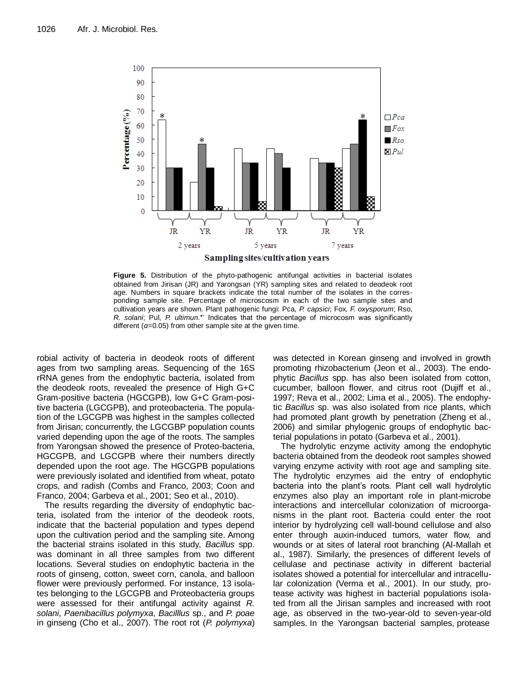

**Figure 5.** Distribution of the phyto-pathogenic antifungal activities in bacterial isolates obtained from Jirisan (JR) and Yarongsan (YR) sampling sites and related to deodeok root age. Numbers in square brackets indicate the total number of the isolates in the corresponding sample site. Percentage of microscosm in each of the two sample sites and cultivation years are shown. Plant pathogenic fungi: Pca, *P. capsici*; Fox, *F. oxysporum*; Rso, *R. solani*; Pul, *P. ultimun*.\*' Indicates that the percentage of microcosm was significantly different  $(a=0.05)$  from other sample site at the given time.

robial activity of bacteria in deodeok roots of different ages from two sampling areas. Sequencing of the 16S rRNA genes from the endophytic bacteria, isolated from the deodeok roots, revealed the presence of High G+C Gram-positive bacteria (HGCGPB), low G+C Gram-positive bacteria (LGCGPB), and proteobacteria. The population of the LGCGPB was highest in the samples collected from Jirisan; concurrently, the LGCGBP population counts varied depending upon the age of the roots. The samples from Yarongsan showed the presence of Proteo-bacteria, HGCGPB, and LGCGPB where their numbers directly depended upon the root age. The HGCGPB populations were previously isolated and identified from wheat, potato crops, and radish (Combs and Franco, 2003; Coon and Franco, 2004; Garbeva et al., 2001; Seo et al., 2010).

The results regarding the diversity of endophytic bacteria, isolated from the interior of the deodeok roots, indicate that the bacterial population and types depend upon the cultivation period and the sampling site. Among the bacterial strains isolated in this study, *Bacillus* spp. was dominant in all three samples from two different locations. Several studies on endophytic bacteria in the roots of ginseng, cotton, sweet corn, canola, and balloon flower were previously performed. For instance, 13 isolates belonging to the LGCGPB and Proteobacteria groups were assessed for their antifungal activity against *R. solani*, *Paenibacillus polymyxa*, *Bacilllus* sp., and *P. poae* in ginseng (Cho et al., 2007). The root rot (*P. polymyxa*) was detected in Korean ginseng and involved in growth promoting rhizobacterium (Jeon et al., 2003). The endophytic *Bacillus* spp. has also been isolated from cotton, cucumber, balloon flower, and citrus root (Dujiff et al., 1997; Reva et al., 2002; Lima et al., 2005). The endophytic *Bacillus* sp. was also isolated from rice plants, which had promoted plant growth by penetration (Zheng et al., 2006) and similar phylogenic groups of endophytic bacterial populations in potato (Garbeva et al., 2001).

The hydrolytic enzyme activity among the endophytic bacteria obtained from the deodeok root samples showed varying enzyme activity with root age and sampling site. The hydrolytic enzymes aid the entry of endophytic bacteria into the plant's roots. Plant cell wall hydrolytic enzymes also play an important role in plant-microbe interactions and intercellular colonization of microorganisms in the plant root. Bacteria could enter the root interior by hydrolyzing cell wall-bound cellulose and also enter through auxin-induced tumors, water flow, and wounds or at sites of lateral root branching (Al-Mallah et al., 1987). Similarly, the presences of different levels of cellulase and pectinase activity in different bacterial isolates showed a potential for intercellular and intracellular colonization (Verma et al., 2001). In our study, protease activity was highest in bacterial populations isolated from all the Jirisan samples and increased with root age, as observed in the two-year-old to seven-year-old samples. In the Yarongsan bacterial samples, protease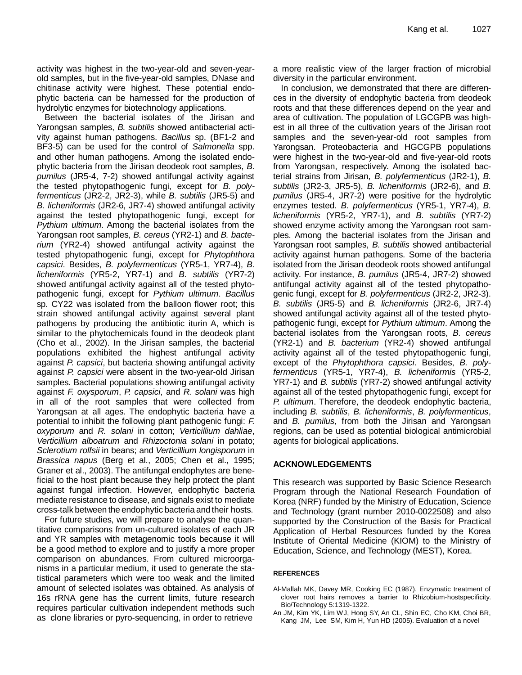activity was highest in the two-year-old and seven-yearold samples, but in the five-year-old samples, DNase and chitinase activity were highest. These potential endophytic bacteria can be harnessed for the production of hydrolytic enzymes for biotechnology applications.

Between the bacterial isolates of the Jirisan and Yarongsan samples, *B. subtilis* showed antibacterial activity against human pathogens. *Bacillus* sp. (BF1-2 and BF3-5) can be used for the control of *Salmonella* spp. and other human pathogens. Among the isolated endophytic bacteria from the Jirisan deodeok root samples, *B. pumilus* (JR5-4, 7-2) showed antifungal activity against the tested phytopathogenic fungi, except for *B. polyfermenticus* (JR2-2, JR2-3), while *B. subtilis* (JR5-5) and *B. licheniformis* (JR2-6, JR7-4) showed antifungal activity against the tested phytopathogenic fungi, except for *Pythium ultimum*. Among the bacterial isolates from the Yarongsan root samples, *B. cereus* (YR2-1) and *B. bacterium* (YR2-4) showed antifungal activity against the tested phytopathogenic fungi, except for *Phytophthora capsici*. Besides, *B. polyfermenticus* (YR5-1, YR7-4), *B. licheniformis* (YR5-2, YR7-1) and *B. subtilis* (YR7-2) showed antifungal activity against all of the tested phytopathogenic fungi, except for *Pythium ultimum*. *Bacillus* sp. CY22 was isolated from the balloon flower root; this strain showed antifungal activity against several plant pathogens by producing the antibiotic iturin A, which is similar to the phytochemicals found in the deodeok plant (Cho et al., 2002). In the Jirisan samples, the bacterial populations exhibited the highest antifungal activity against *P. capsici*, but bacteria showing antifungal activity against *P. capsici* were absent in the two-year-old Jirisan samples. Bacterial populations showing antifungal activity against *F. oxysporum*, *P. capsici*, and *R. solani* was high in all of the root samples that were collected from Yarongsan at all ages. The endophytic bacteria have a potential to inhibit the following plant pathogenic fungi: *F. oxyporum* and *R. solani* in cotton; *Verticillium dahliae*, *Verticillium alboatrum* and *Rhizoctonia solani* in potato; *Sclerotium rolfsii* in beans; and *Verticillium longisporum* in *Brassica napus* (Berg et al., 2005; Chen et al., 1995; Graner et al., 2003). The antifungal endophytes are beneficial to the host plant because they help protect the plant against fungal infection. However, endophytic bacteria mediate resistance to disease, and signals exist to mediate cross-talk between the endophytic bacteria and their hosts.

For future studies, we will prepare to analyse the quantitative comparisons from un-cultured isolates of each JR and YR samples with metagenomic tools because it will be a good method to explore and to justify a more proper comparison on abundances. From cultured microorganisms in a particular medium, it used to generate the statistical parameters which were too weak and the limited amount of selected isolates was obtained. As analysis of 16s rRNA gene has the current limits, future research requires particular cultivation independent methods such as clone libraries or pyro-sequencing, in order to retrieve

a more realistic view of the larger fraction of microbial diversity in the particular environment.

In conclusion, we demonstrated that there are differences in the diversity of endophytic bacteria from deodeok roots and that these differences depend on the year and area of cultivation. The population of LGCGPB was highest in all three of the cultivation years of the Jirisan root samples and the seven-year-old root samples from Yarongsan. Proteobacteria and HGCGPB populations were highest in the two-year-old and five-year-old roots from Yarongsan, respectively. Among the isolated bacterial strains from Jirisan, *B. polyfermenticus* (JR2-1), *B. subtilis* (JR2-3, JR5-5), *B. licheniformis* (JR2-6), and *B. pumilus* (JR5-4, JR7-2) were positive for the hydrolytic enzymes tested. *B. polyfermenticus* (YR5-1, YR7-4), *B. licheniformis* (YR5-2, YR7-1), and *B. subtilis* (YR7-2) showed enzyme activity among the Yarongsan root samples. Among the bacterial isolates from the Jirisan and Yarongsan root samples, *B. subtilis* showed antibacterial activity against human pathogens. Some of the bacteria isolated from the Jirisan deodeok roots showed antifungal activity. For instance, *B. pumilus* (JR5-4, JR7-2) showed antifungal activity against all of the tested phytopathogenic fungi, except for *B. polyfermenticus* (JR2-2, JR2-3). *B. subtilis* (JR5-5) and *B. licheniformis* (JR2-6, JR7-4) showed antifungal activity against all of the tested phytopathogenic fungi, except for *Pythium ultimum*. Among the bacterial isolates from the Yarongsan roots, *B. cereus*  (YR2-1) and *B. bacterium* (YR2-4) showed antifungal activity against all of the tested phytopathogenic fungi, except of the *Phytophthora capsici*. Besides, *B. polyfermenticus* (YR5-1, YR7-4), *B. licheniformis* (YR5-2, YR7-1) and *B. subtilis* (YR7-2) showed antifungal activity against all of the tested phytopathogenic fungi, except for *P. ultimum*. Therefore, the deodeok endophytic bacteria, including *B. subtilis*, *B. licheniformis*, *B. polyfermenticus*, and *B. pumilus*, from both the Jirisan and Yarongsan regions, can be used as potential biological antimicrobial agents for biological applications.

# **ACKNOWLEDGEMENTS**

This research was supported by Basic Science Research Program through the National Research Foundation of Korea (NRF) funded by the Ministry of Education, Science and Technology (grant number 2010-0022508) and also supported by the Construction of the Basis for Practical Application of Herbal Resources funded by the Korea Institute of Oriental Medicine (KIOM) to the Ministry of Education, Science, and Technology (MEST), Korea.

### **REFERENCES**

- Al-Mallah MK, Davey MR, Cooking EC (1987). Enzymatic treatment of clover root hairs removes a barrier to Rhizobium-hostspecificity. Bio/Technology 5:1319-1322.
- An JM, Kim YK, Lim WJ, Hong SY, An CL, Shin EC, Cho KM, Choi BR, Kang JM, Lee SM, Kim H, Yun HD (2005). Evaluation of a novel